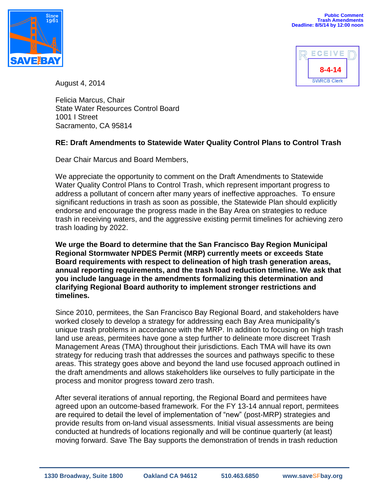



August 4, 2014

Felicia Marcus, Chair State Water Resources Control Board 1001 I Street Sacramento, CA 95814

## **RE: Draft Amendments to Statewide Water Quality Control Plans to Control Trash**

Dear Chair Marcus and Board Members,

We appreciate the opportunity to comment on the Draft Amendments to Statewide Water Quality Control Plans to Control Trash, which represent important progress to address a pollutant of concern after many years of ineffective approaches. To ensure significant reductions in trash as soon as possible, the Statewide Plan should explicitly endorse and encourage the progress made in the Bay Area on strategies to reduce trash in receiving waters, and the aggressive existing permit timelines for achieving zero trash loading by 2022.

**We urge the Board to determine that the San Francisco Bay Region Municipal Regional Stormwater NPDES Permit (MRP) currently meets or exceeds State Board requirements with respect to delineation of high trash generation areas, annual reporting requirements, and the trash load reduction timeline. We ask that you include language in the amendments formalizing this determination and clarifying Regional Board authority to implement stronger restrictions and timelines.** 

Since 2010, permitees, the San Francisco Bay Regional Board, and stakeholders have worked closely to develop a strategy for addressing each Bay Area municipality's unique trash problems in accordance with the MRP. In addition to focusing on high trash land use areas, permitees have gone a step further to delineate more discreet Trash Management Areas (TMA) throughout their jurisdictions. Each TMA will have its own strategy for reducing trash that addresses the sources and pathways specific to these areas. This strategy goes above and beyond the land use focused approach outlined in the draft amendments and allows stakeholders like ourselves to fully participate in the process and monitor progress toward zero trash.

After several iterations of annual reporting, the Regional Board and permitees have agreed upon an outcome-based framework. For the FY 13-14 annual report, permitees are required to detail the level of implementation of "new" (post-MRP) strategies and provide results from on-land visual assessments. Initial visual assessments are being conducted at hundreds of locations regionally and will be continue quarterly (at least) moving forward. Save The Bay supports the demonstration of trends in trash reduction